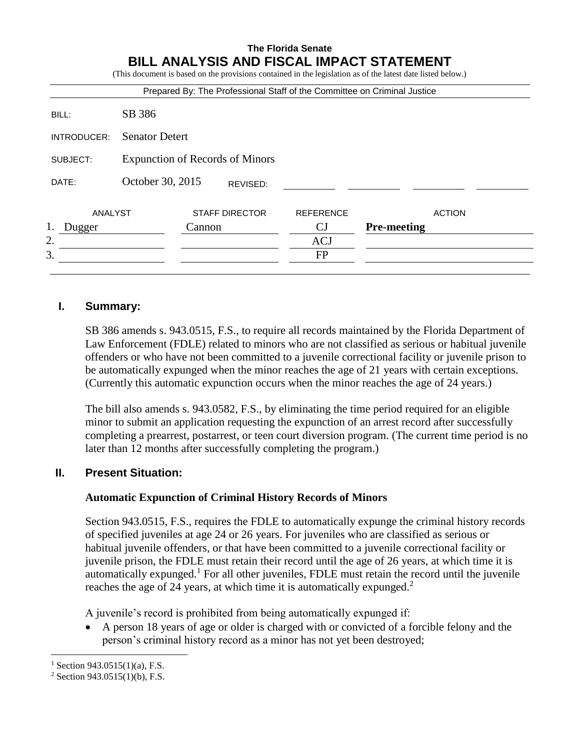#### **The Florida Senate BILL ANALYSIS AND FISCAL IMPACT STATEMENT**  $\epsilon$  and the provisions contained in the legislation as of the latest date listed below.

|             |                                        |        |                       | Prepared By: The Professional Staff of the Committee on Criminal Justice |                    |               |
|-------------|----------------------------------------|--------|-----------------------|--------------------------------------------------------------------------|--------------------|---------------|
| BILL:       | SB 386                                 |        |                       |                                                                          |                    |               |
| INTRODUCER: | <b>Senator Detert</b>                  |        |                       |                                                                          |                    |               |
| SUBJECT:    | <b>Expunction of Records of Minors</b> |        |                       |                                                                          |                    |               |
| DATE:       | October 30, 2015                       |        | REVISED:              |                                                                          |                    |               |
| ANALYST     |                                        |        | <b>STAFF DIRECTOR</b> | <b>REFERENCE</b>                                                         |                    | <b>ACTION</b> |
| Dugger      |                                        | Cannon |                       | CJ                                                                       | <b>Pre-meeting</b> |               |
| 2.          |                                        |        |                       | <b>ACJ</b>                                                               |                    |               |
| 3.          |                                        |        |                       | <b>FP</b>                                                                |                    |               |

# **I. Summary:**

SB 386 amends s. 943.0515, F.S., to require all records maintained by the Florida Department of Law Enforcement (FDLE) related to minors who are not classified as serious or habitual juvenile offenders or who have not been committed to a juvenile correctional facility or juvenile prison to be automatically expunged when the minor reaches the age of 21 years with certain exceptions. (Currently this automatic expunction occurs when the minor reaches the age of 24 years.)

The bill also amends s. 943.0582, F.S., by eliminating the time period required for an eligible minor to submit an application requesting the expunction of an arrest record after successfully completing a prearrest, postarrest, or teen court diversion program. (The current time period is no later than 12 months after successfully completing the program.)

# **II. Present Situation:**

# **Automatic Expunction of Criminal History Records of Minors**

Section 943.0515, F.S., requires the FDLE to automatically expunge the criminal history records of specified juveniles at age 24 or 26 years. For juveniles who are classified as serious or habitual juvenile offenders, or that have been committed to a juvenile correctional facility or juvenile prison, the FDLE must retain their record until the age of 26 years, at which time it is automatically expunged.<sup>1</sup> For all other juveniles, FDLE must retain the record until the juvenile reaches the age of 24 years, at which time it is automatically expunged.<sup>2</sup>

A juvenile's record is prohibited from being automatically expunged if:

 A person 18 years of age or older is charged with or convicted of a forcible felony and the person's criminal history record as a minor has not yet been destroyed;

 $\overline{a}$ 

 $1$  Section 943.0515(1)(a), F.S.

 $2$  Section 943.0515(1)(b), F.S.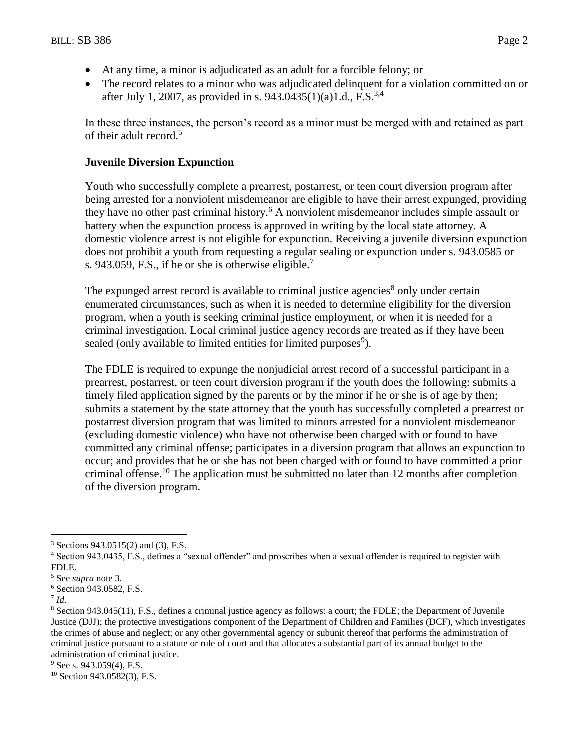- At any time, a minor is adjudicated as an adult for a forcible felony; or
- The record relates to a minor who was adjudicated delinquent for a violation committed on or after July 1, 2007, as provided in s. 943.0435(1)(a)1.d., F.S.<sup>3,4</sup>

In these three instances, the person's record as a minor must be merged with and retained as part of their adult record.<sup>5</sup>

#### **Juvenile Diversion Expunction**

Youth who successfully complete a prearrest, postarrest, or teen court diversion program after being arrested for a nonviolent misdemeanor are eligible to have their arrest expunged, providing they have no other past criminal history.<sup>6</sup> A nonviolent misdemeanor includes simple assault or battery when the expunction process is approved in writing by the local state attorney. A domestic violence arrest is not eligible for expunction. Receiving a juvenile diversion expunction does not prohibit a youth from requesting a regular sealing or expunction under s. 943.0585 or s. 943.059, F.S., if he or she is otherwise eligible.<sup>7</sup>

The expunged arrest record is available to criminal justice agencies<sup>8</sup> only under certain enumerated circumstances, such as when it is needed to determine eligibility for the diversion program, when a youth is seeking criminal justice employment, or when it is needed for a criminal investigation. Local criminal justice agency records are treated as if they have been sealed (only available to limited entities for limited purposes<sup>9</sup>).

The FDLE is required to expunge the nonjudicial arrest record of a successful participant in a prearrest, postarrest, or teen court diversion program if the youth does the following: submits a timely filed application signed by the parents or by the minor if he or she is of age by then; submits a statement by the state attorney that the youth has successfully completed a prearrest or postarrest diversion program that was limited to minors arrested for a nonviolent misdemeanor (excluding domestic violence) who have not otherwise been charged with or found to have committed any criminal offense; participates in a diversion program that allows an expunction to occur; and provides that he or she has not been charged with or found to have committed a prior criminal offense.<sup>10</sup> The application must be submitted no later than 12 months after completion of the diversion program.

 $\overline{a}$ 

<sup>3</sup> Sections 943.0515(2) and (3), F.S.

<sup>4</sup> Section 943.0435, F.S., defines a "sexual offender" and proscribes when a sexual offender is required to register with FDLE.

<sup>5</sup> See *supra* note 3*.*

<sup>6</sup> Section 943.0582, F.S.

<sup>7</sup> *Id.*

<sup>8</sup> Section 943.045(11), F.S., defines a criminal justice agency as follows: a court; the FDLE; the Department of Juvenile Justice (DJJ); the protective investigations component of the Department of Children and Families (DCF), which investigates the crimes of abuse and neglect; or any other governmental agency or subunit thereof that performs the administration of criminal justice pursuant to a statute or rule of court and that allocates a substantial part of its annual budget to the administration of criminal justice.

 $9$  See s. 943.059(4), F.S.

 $10$  Section 943.0582(3), F.S.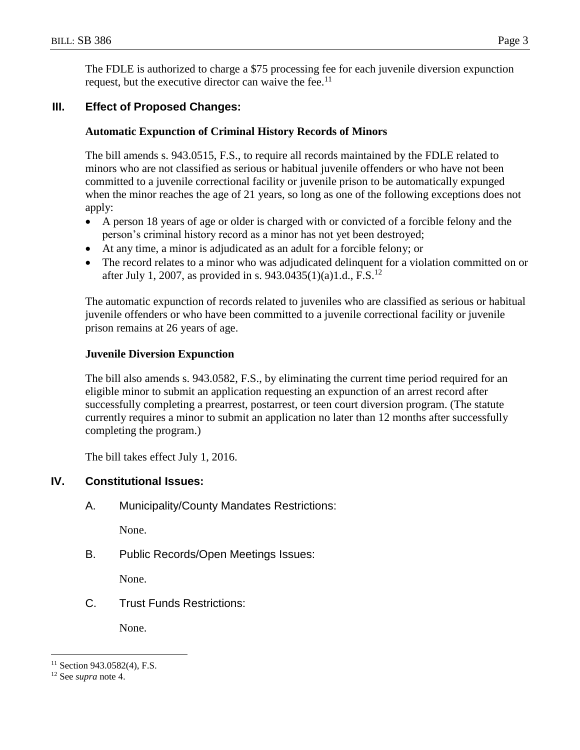The FDLE is authorized to charge a \$75 processing fee for each juvenile diversion expunction request, but the executive director can waive the fee.<sup>11</sup>

## **III. Effect of Proposed Changes:**

### **Automatic Expunction of Criminal History Records of Minors**

The bill amends s. 943.0515, F.S., to require all records maintained by the FDLE related to minors who are not classified as serious or habitual juvenile offenders or who have not been committed to a juvenile correctional facility or juvenile prison to be automatically expunged when the minor reaches the age of 21 years, so long as one of the following exceptions does not apply:

- A person 18 years of age or older is charged with or convicted of a forcible felony and the person's criminal history record as a minor has not yet been destroyed;
- At any time, a minor is adjudicated as an adult for a forcible felony; or
- The record relates to a minor who was adjudicated delinquent for a violation committed on or after July 1, 2007, as provided in s. 943.0435(1)(a)1.d., F.S.<sup>12</sup>

The automatic expunction of records related to juveniles who are classified as serious or habitual juvenile offenders or who have been committed to a juvenile correctional facility or juvenile prison remains at 26 years of age.

### **Juvenile Diversion Expunction**

The bill also amends s. 943.0582, F.S., by eliminating the current time period required for an eligible minor to submit an application requesting an expunction of an arrest record after successfully completing a prearrest, postarrest, or teen court diversion program. (The statute currently requires a minor to submit an application no later than 12 months after successfully completing the program.)

The bill takes effect July 1, 2016.

### **IV. Constitutional Issues:**

A. Municipality/County Mandates Restrictions:

None.

B. Public Records/Open Meetings Issues:

None.

C. Trust Funds Restrictions:

None.

 $\overline{a}$ 

 $11$  Section 943.0582(4), F.S.

<sup>12</sup> See *supra* note 4.